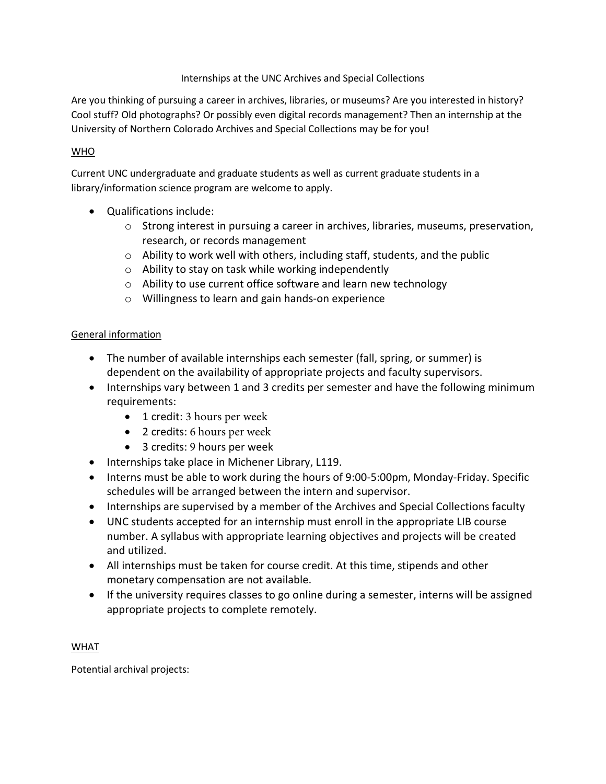### Internships at the UNC Archives and Special Collections

Are you thinking of pursuing a career in archives, libraries, or museums? Are you interested in history? Cool stuff? Old photographs? Or possibly even digital records management? Then an internship at the University of Northern Colorado Archives and Special Collections may be for you!

# WHO

Current UNC undergraduate and graduate students as well as current graduate students in a library/information science program are welcome to apply.

- Qualifications include:
	- $\circ$  Strong interest in pursuing a career in archives, libraries, museums, preservation, research, or records management
	- o Ability to work well with others, including staff, students, and the public
	- o Ability to stay on task while working independently
	- o Ability to use current office software and learn new technology
	- o Willingness to learn and gain hands-on experience

# General information

- The number of available internships each semester (fall, spring, or summer) is dependent on the availability of appropriate projects and faculty supervisors.
- Internships vary between 1 and 3 credits per semester and have the following minimum requirements:
	- 1 credit: 3 hours per week
	- 2 credits: 6 hours per week
	- 3 credits: 9 hours per week
- Internships take place in Michener Library, L119.
- Interns must be able to work during the hours of 9:00-5:00pm, Monday-Friday. Specific schedules will be arranged between the intern and supervisor.
- Internships are supervised by a member of the Archives and Special Collections faculty
- UNC students accepted for an internship must enroll in the appropriate LIB course number. A syllabus with appropriate learning objectives and projects will be created and utilized.
- All internships must be taken for course credit. At this time, stipends and other monetary compensation are not available.
- If the university requires classes to go online during a semester, interns will be assigned appropriate projects to complete remotely.

WHAT

Potential archival projects: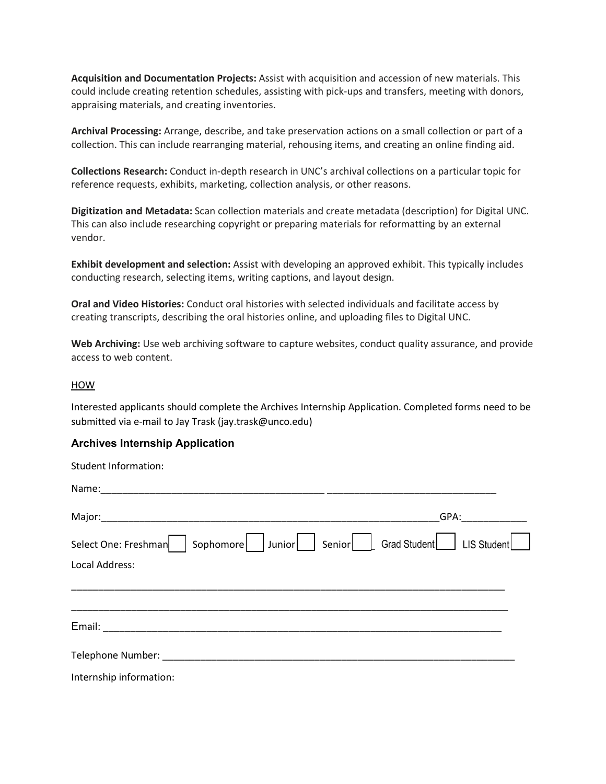**Acquisition and Documentation Projects:** Assist with acquisition and accession of new materials. This could include creating retention schedules, assisting with pick-ups and transfers, meeting with donors, appraising materials, and creating inventories.

**Archival Processing:** Arrange, describe, and take preservation actions on a small collection or part of a collection. This can include rearranging material, rehousing items, and creating an online finding aid.

**Collections Research:** Conduct in-depth research in UNC's archival collections on a particular topic for reference requests, exhibits, marketing, collection analysis, or other reasons.

**Digitization and Metadata:** Scan collection materials and create metadata (description) for Digital UNC. This can also include researching copyright or preparing materials for reformatting by an external vendor.

**Exhibit development and selection:** Assist with developing an approved exhibit. This typically includes conducting research, selecting items, writing captions, and layout design.

**Oral and Video Histories:** Conduct oral histories with selected individuals and facilitate access by creating transcripts, describing the oral histories online, and uploading files to Digital UNC.

**Web Archiving:** Use web archiving software to capture websites, conduct quality assurance, and provide access to web content.

#### HOW

Interested applicants should complete the Archives Internship Application. Completed forms need to be submitted via e-mail to Jay Trask (jay.trask@unco.edu)

#### **Archives Internship Application**

| <b>Student Information:</b> |                                                  |
|-----------------------------|--------------------------------------------------|
|                             |                                                  |
|                             | GPA:                                             |
| Select One: Freshman        | Sophomore Junior Senior Crad Student LIS Student |
| Local Address:              |                                                  |
|                             |                                                  |
|                             |                                                  |
|                             |                                                  |
| Internship information:     |                                                  |